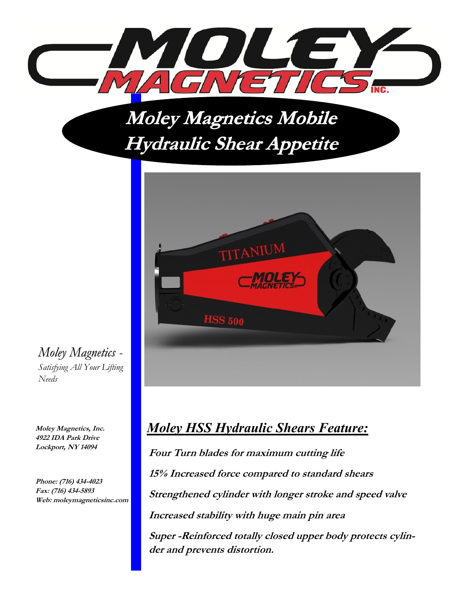

## **Moley Magnetics Mobile Hydraulic Shear Appetite**



*Moley Magnetics - Satisfying All Your Lifting* 

**4922 IDA Park Drive Lockport, NY 14094**

*Needs*

**Phone: (716) 434-4023 Fax: (716) 434-5893 Web: moleymagneticsinc.com**

## **Moley Magnetics, Inc.** *Moley HSS Hydraulic Shears Feature:*

**Four Turn blades for maximum cutting life 15% Increased force compared to standard shears Strengthened cylinder with longer stroke and speed valve Increased stability with huge main pin area Super -Reinforced totally closed upper body protects cylinder and prevents distortion.**